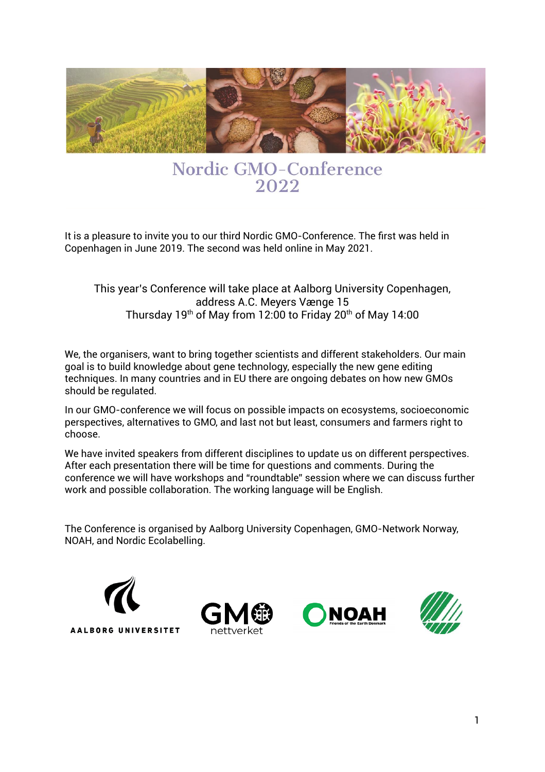

## **Nordic GMO-Conference** 2022

It is a pleasure to invite you to our third Nordic GMO-Conference. The first was held in Copenhagen in June 2019. The second was held online in May 2021.

#### This year's Conference will take place at Aalborg University Copenhagen, address A.C. Meyers Vænge 15 Thursday 19<sup>th</sup> of May from 12:00 to Friday 20<sup>th</sup> of May 14:00

We, the organisers, want to bring together scientists and different stakeholders. Our main goal is to build knowledge about gene technology, especially the new gene editing techniques. In many countries and in EU there are ongoing debates on how new GMOs should be regulated.

In our GMO-conference we will focus on possible impacts on ecosystems, socioeconomic perspectives, alternatives to GMO, and last not but least, consumers and farmers right to choose.

We have invited speakers from different disciplines to update us on different perspectives. After each presentation there will be time for questions and comments. During the conference we will have workshops and "roundtable" session where we can discuss further work and possible collaboration. The working language will be English.

The Conference is organised by Aalborg University Copenhagen, GMO-Network Norway, NOAH, and Nordic Ecolabelling.

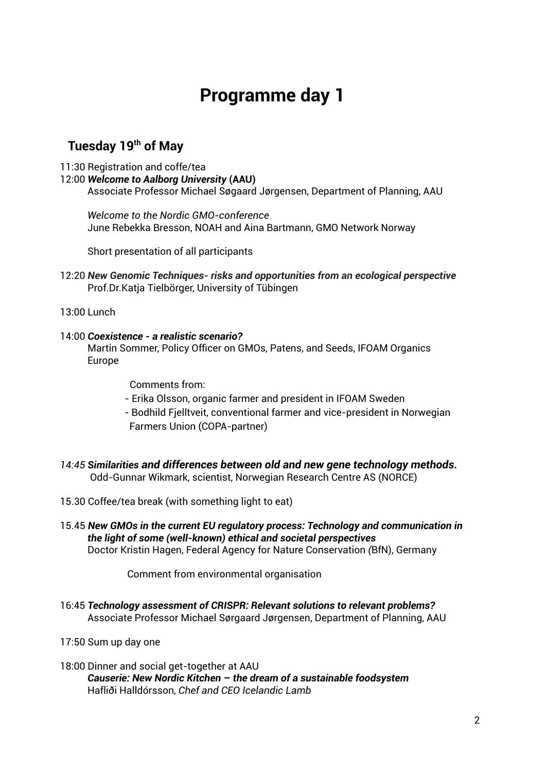# **Programme day 1**

### **Tuesday 19th of May**

- 11:30 Registration and coffe/tea
- 12:00 *Welcome to Aalborg University* **(AAU)**

Associate Professor Michael Søgaard Jørgensen, Department of Planning, AAU

*Welcome to the Nordic GMO-conference* June Rebekka Bresson, NOAH and Aina Bartmann, GMO Network Norway

Short presentation of all participants

12:20 *New Genomic Techniques- risks and opportunities from an ecological perspective* Prof.Dr.Katja Tielbörger, University of Tübingen

13:00 Lunch

#### 14:00 *Coexistence - a realistic scenario?*

Martin Sommer, Policy Officer on GMOs, Patens, and Seeds, IFOAM Organics Europe

Comments from:

- Erika Olsson, organic farmer and president in IFOAM Sweden
- Bodhild Fjelltveit, conventional farmer and vice-president in Norwegian Farmers Union (COPA-partner)
- *14:45 Similarities and differences between old and new gene technology methods.* Odd-Gunnar Wikmark, scientist, Norwegian Research Centre AS (NORCE)
- 15.30 Coffee/tea break (with something light to eat)
- 15.45 *New GMOs in the current EU regulatory process: Technology and communication in the light of some (well-known) ethical and societal perspectives* Doctor Kristin Hagen, Federal Agency for Nature Conservation *(*BfN), Germany

Comment from environmental organisation

- 16:45 *Technology assessment of CRISPR: Relevant solutions to relevant problems?* Associate Professor Michael Sørgaard Jørgensen, Department of Planning, AAU
- 17:50 Sum up day one
- 18:00 Dinner and social get-together at AAU *Causerie: New Nordic Kitchen – the dream of a sustainable foodsystem* Hafliði Halldórsson, *Chef and CEO Icelandic Lamb*